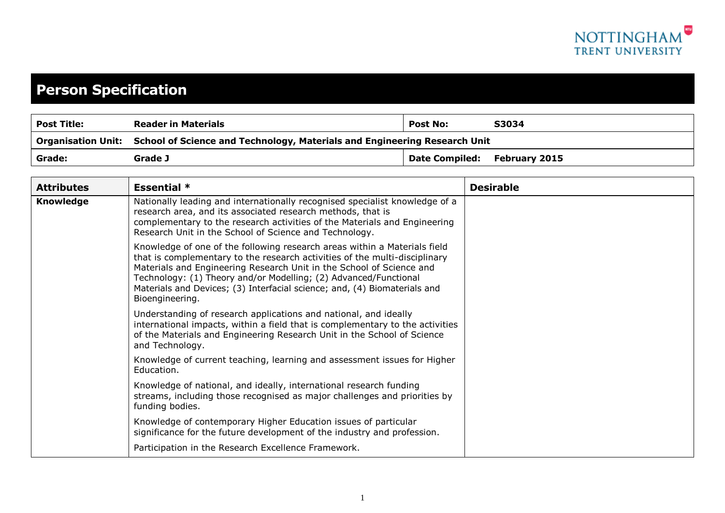

## **Person Specification**

| <b>Post Title:</b> | <b>Reader in Materials</b>                                                                   | <b>Post No:</b>              | S3034 |
|--------------------|----------------------------------------------------------------------------------------------|------------------------------|-------|
|                    | Organisation Unit: School of Science and Technology, Materials and Engineering Research Unit |                              |       |
| Grade:             | Grade J                                                                                      | Date Compiled: February 2015 |       |

| <b>Attributes</b> | <b>Essential *</b>                                                                                                                                                                                                                                                                                                                                                                                  | <b>Desirable</b> |
|-------------------|-----------------------------------------------------------------------------------------------------------------------------------------------------------------------------------------------------------------------------------------------------------------------------------------------------------------------------------------------------------------------------------------------------|------------------|
| <b>Knowledge</b>  | Nationally leading and internationally recognised specialist knowledge of a<br>research area, and its associated research methods, that is<br>complementary to the research activities of the Materials and Engineering<br>Research Unit in the School of Science and Technology.                                                                                                                   |                  |
|                   | Knowledge of one of the following research areas within a Materials field<br>that is complementary to the research activities of the multi-disciplinary<br>Materials and Engineering Research Unit in the School of Science and<br>Technology: (1) Theory and/or Modelling; (2) Advanced/Functional<br>Materials and Devices; (3) Interfacial science; and, (4) Biomaterials and<br>Bioengineering. |                  |
|                   | Understanding of research applications and national, and ideally<br>international impacts, within a field that is complementary to the activities<br>of the Materials and Engineering Research Unit in the School of Science<br>and Technology.                                                                                                                                                     |                  |
|                   | Knowledge of current teaching, learning and assessment issues for Higher<br>Education.                                                                                                                                                                                                                                                                                                              |                  |
|                   | Knowledge of national, and ideally, international research funding<br>streams, including those recognised as major challenges and priorities by<br>funding bodies.                                                                                                                                                                                                                                  |                  |
|                   | Knowledge of contemporary Higher Education issues of particular<br>significance for the future development of the industry and profession.                                                                                                                                                                                                                                                          |                  |
|                   | Participation in the Research Excellence Framework.                                                                                                                                                                                                                                                                                                                                                 |                  |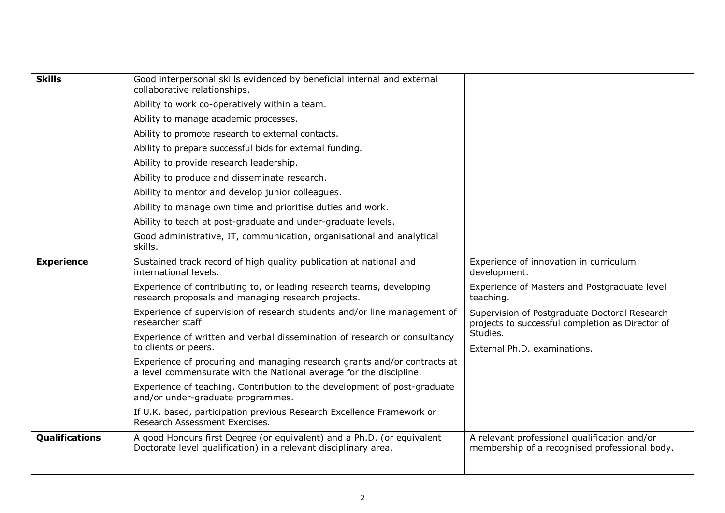| <b>Skills</b>         | Good interpersonal skills evidenced by beneficial internal and external<br>collaborative relationships.                                        |                                                                                                   |
|-----------------------|------------------------------------------------------------------------------------------------------------------------------------------------|---------------------------------------------------------------------------------------------------|
|                       | Ability to work co-operatively within a team.                                                                                                  |                                                                                                   |
|                       | Ability to manage academic processes.                                                                                                          |                                                                                                   |
|                       | Ability to promote research to external contacts.                                                                                              |                                                                                                   |
|                       | Ability to prepare successful bids for external funding.                                                                                       |                                                                                                   |
|                       | Ability to provide research leadership.                                                                                                        |                                                                                                   |
|                       | Ability to produce and disseminate research.                                                                                                   |                                                                                                   |
|                       | Ability to mentor and develop junior colleagues.                                                                                               |                                                                                                   |
|                       | Ability to manage own time and prioritise duties and work.                                                                                     |                                                                                                   |
|                       | Ability to teach at post-graduate and under-graduate levels.                                                                                   |                                                                                                   |
|                       | Good administrative, IT, communication, organisational and analytical<br>skills.                                                               |                                                                                                   |
| <b>Experience</b>     | Sustained track record of high quality publication at national and<br>international levels.                                                    | Experience of innovation in curriculum<br>development.                                            |
|                       | Experience of contributing to, or leading research teams, developing<br>research proposals and managing research projects.                     | Experience of Masters and Postgraduate level<br>teaching.                                         |
|                       | Experience of supervision of research students and/or line management of<br>researcher staff.                                                  | Supervision of Postgraduate Doctoral Research<br>projects to successful completion as Director of |
|                       | Experience of written and verbal dissemination of research or consultancy<br>to clients or peers.                                              | Studies.<br>External Ph.D. examinations.                                                          |
|                       | Experience of procuring and managing research grants and/or contracts at<br>a level commensurate with the National average for the discipline. |                                                                                                   |
|                       | Experience of teaching. Contribution to the development of post-graduate<br>and/or under-graduate programmes.                                  |                                                                                                   |
|                       | If U.K. based, participation previous Research Excellence Framework or<br>Research Assessment Exercises.                                       |                                                                                                   |
| <b>Qualifications</b> | A good Honours first Degree (or equivalent) and a Ph.D. (or equivalent<br>Doctorate level qualification) in a relevant disciplinary area.      | A relevant professional qualification and/or<br>membership of a recognised professional body.     |
|                       |                                                                                                                                                |                                                                                                   |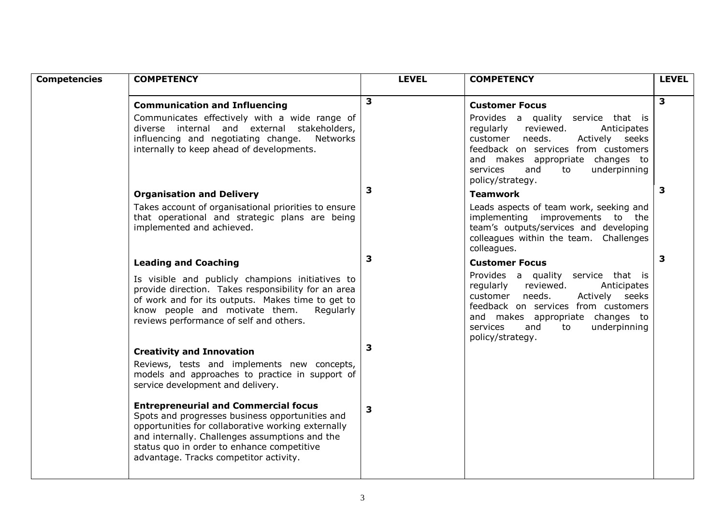| <b>Competencies</b> | <b>COMPETENCY</b>                                                                                                                                                                                                                                                                              | <b>LEVEL</b> | <b>COMPETENCY</b>                                                                                                                                                                                                                                        | <b>LEVEL</b>            |
|---------------------|------------------------------------------------------------------------------------------------------------------------------------------------------------------------------------------------------------------------------------------------------------------------------------------------|--------------|----------------------------------------------------------------------------------------------------------------------------------------------------------------------------------------------------------------------------------------------------------|-------------------------|
|                     |                                                                                                                                                                                                                                                                                                |              |                                                                                                                                                                                                                                                          |                         |
|                     | <b>Communication and Influencing</b>                                                                                                                                                                                                                                                           | 3            | <b>Customer Focus</b>                                                                                                                                                                                                                                    | $\overline{\mathbf{3}}$ |
|                     | Communicates effectively with a wide range of<br>diverse internal and external stakeholders,<br>influencing and negotiating change.<br>Networks<br>internally to keep ahead of developments.                                                                                                   |              | Provides a quality service that is<br>regularly<br>reviewed.<br>Anticipates<br>customer needs.<br>Actively seeks<br>feedback on services from customers<br>and makes appropriate changes to<br>underpinning<br>services<br>and<br>to<br>policy/strategy. |                         |
|                     | <b>Organisation and Delivery</b>                                                                                                                                                                                                                                                               | 3            | <b>Teamwork</b>                                                                                                                                                                                                                                          | $\overline{\mathbf{3}}$ |
|                     | Takes account of organisational priorities to ensure<br>that operational and strategic plans are being<br>implemented and achieved.                                                                                                                                                            |              | Leads aspects of team work, seeking and<br>implementing improvements to the<br>team's outputs/services and developing<br>colleagues within the team. Challenges<br>colleagues.                                                                           |                         |
|                     | <b>Leading and Coaching</b>                                                                                                                                                                                                                                                                    | 3            | <b>Customer Focus</b>                                                                                                                                                                                                                                    | $\mathbf{3}$            |
|                     | Is visible and publicly champions initiatives to<br>provide direction. Takes responsibility for an area<br>of work and for its outputs. Makes time to get to<br>know people and motivate them.<br>Regularly<br>reviews performance of self and others.                                         |              | Provides a quality service that is<br>regularly<br>reviewed.<br>Anticipates<br>customer needs.<br>Actively seeks<br>feedback on services from customers<br>and makes appropriate changes to<br>underpinning<br>services<br>and<br>to                     |                         |
|                     | <b>Creativity and Innovation</b>                                                                                                                                                                                                                                                               | 3            | policy/strategy.                                                                                                                                                                                                                                         |                         |
|                     | Reviews, tests and implements new concepts,<br>models and approaches to practice in support of<br>service development and delivery.                                                                                                                                                            |              |                                                                                                                                                                                                                                                          |                         |
|                     | <b>Entrepreneurial and Commercial focus</b><br>Spots and progresses business opportunities and<br>opportunities for collaborative working externally<br>and internally. Challenges assumptions and the<br>status quo in order to enhance competitive<br>advantage. Tracks competitor activity. | 3            |                                                                                                                                                                                                                                                          |                         |